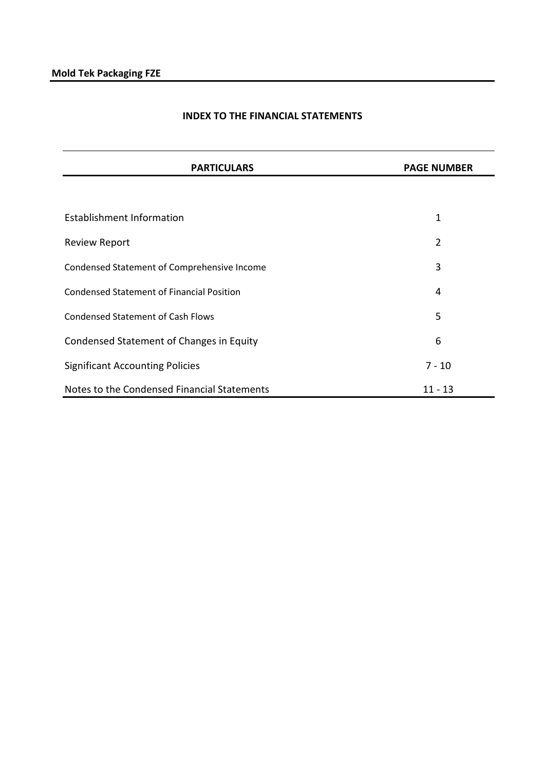# **INDEX TO THE FINANCIAL STATEMENTS**

| <b>PARTICULARS</b>                               | <b>PAGE NUMBER</b> |
|--------------------------------------------------|--------------------|
|                                                  |                    |
| <b>Establishment Information</b>                 | 1                  |
| <b>Review Report</b>                             | $\overline{2}$     |
| Condensed Statement of Comprehensive Income      | 3                  |
| <b>Condensed Statement of Financial Position</b> | 4                  |
| <b>Condensed Statement of Cash Flows</b>         | 5                  |
| Condensed Statement of Changes in Equity         | 6                  |
| <b>Significant Accounting Policies</b>           | $7 - 10$           |
| Notes to the Condensed Financial Statements      | $11 - 13$          |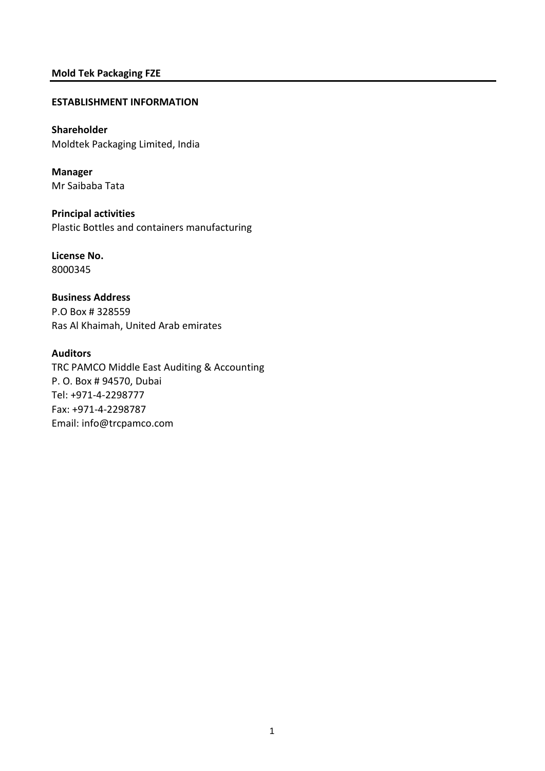### **ESTABLISHMENT INFORMATION**

# **Shareholder** Moldtek Packaging Limited, India

**Manager** Mr Saibaba Tata

**Principal activities** Plastic Bottles and containers manufacturing

**License No.** 8000345

**Business Address** P.O Box # 328559 Ras Al Khaimah, United Arab emirates

**Auditors**

TRC PAMCO Middle East Auditing & Accounting P. O. Box # 94570, Dubai Tel: +971-4-2298777 Fax: +971-4-2298787 Email: info@trcpamco.com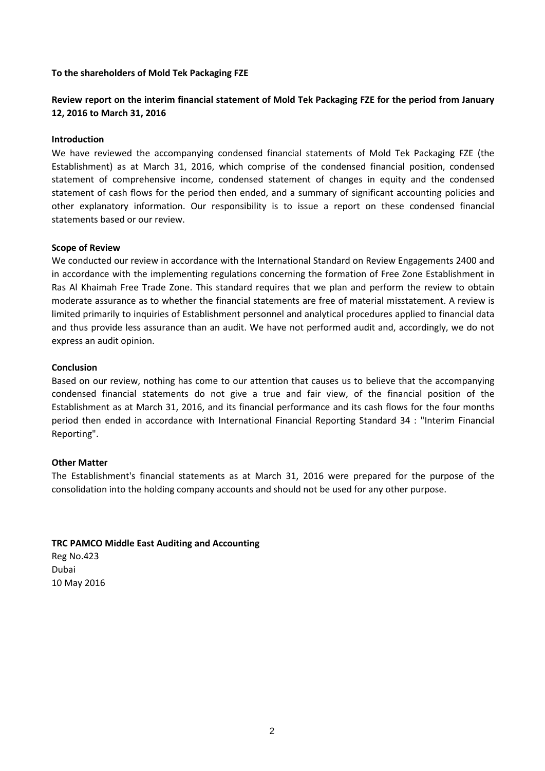### **To the shareholders of Mold Tek Packaging FZE**

# **Review report on the interim financial statement of Mold Tek Packaging FZE for the period from January 12, 2016 to March 31, 2016**

### **Introduction**

We have reviewed the accompanying condensed financial statements of Mold Tek Packaging FZE (the Establishment) as at March 31, 2016, which comprise of the condensed financial position, condensed statement of comprehensive income, condensed statement of changes in equity and the condensed statement of cash flows for the period then ended, and a summary of significant accounting policies and other explanatory information. Our responsibility is to issue a report on these condensed financial statements based or our review.

### **Scope of Review**

We conducted our review in accordance with the International Standard on Review Engagements 2400 and in accordance with the implementing regulations concerning the formation of Free Zone Establishment in Ras Al Khaimah Free Trade Zone. This standard requires that we plan and perform the review to obtain moderate assurance as to whether the financial statements are free of material misstatement. A review is limited primarily to inquiries of Establishment personnel and analytical procedures applied to financial data and thus provide less assurance than an audit. We have not performed audit and, accordingly, we do not express an audit opinion.

### **Conclusion**

Based on our review, nothing has come to our attention that causes us to believe that the accompanying condensed financial statements do not give a true and fair view, of the financial position of the Establishment as at March 31, 2016, and its financial performance and its cash flows for the four months period then ended in accordance with International Financial Reporting Standard 34 : "Interim Financial Reporting".

### **Other Matter**

The Establishment's financial statements as at March 31, 2016 were prepared for the purpose of the consolidation into the holding company accounts and should not be used for any other purpose.

# **TRC PAMCO Middle East Auditing and Accounting**

Reg No.423 Dubai 10 May 2016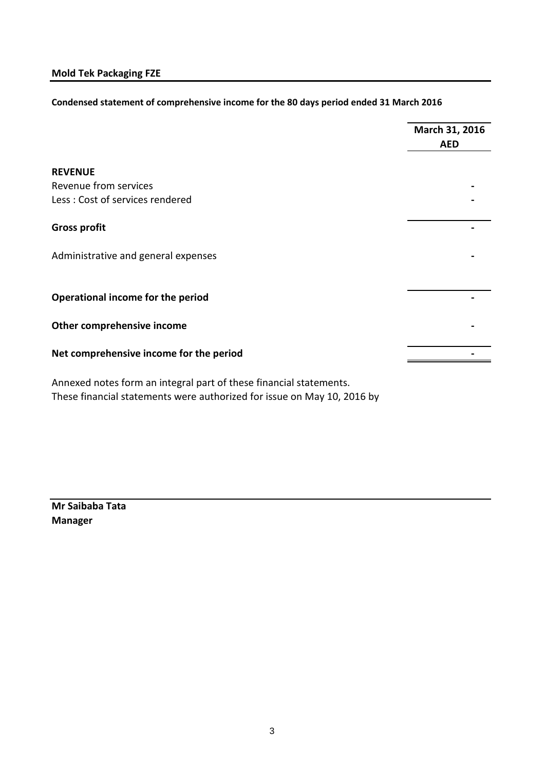# **Condensed statement of comprehensive income for the 80 days period ended 31 March 2016**

|                                                                    | March 31, 2016<br><b>AED</b> |
|--------------------------------------------------------------------|------------------------------|
| <b>REVENUE</b>                                                     |                              |
| Revenue from services                                              |                              |
| Less: Cost of services rendered                                    |                              |
| <b>Gross profit</b>                                                |                              |
| Administrative and general expenses                                |                              |
| Operational income for the period                                  |                              |
| Other comprehensive income                                         |                              |
| Net comprehensive income for the period                            |                              |
| Annexed notes form an integral part of these financial statements. |                              |

These financial statements were authorized for issue on May 10, 2016 by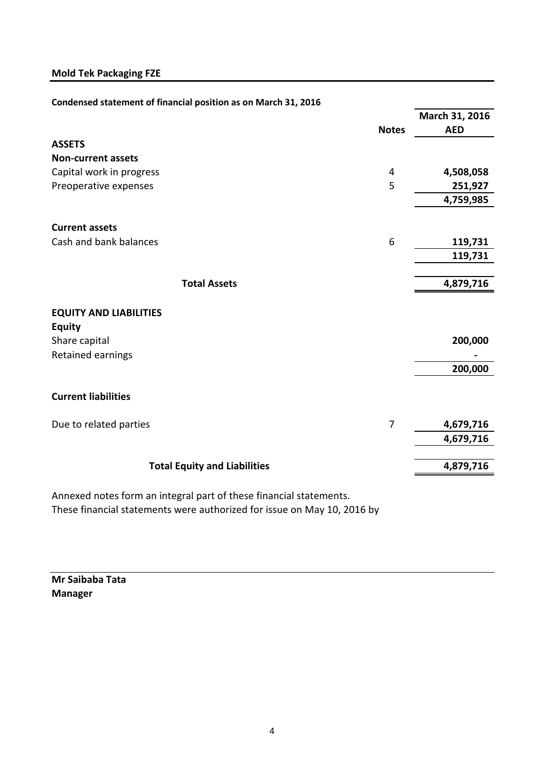| Condensed statement of financial position as on March 31, 2016 |  |
|----------------------------------------------------------------|--|
|----------------------------------------------------------------|--|

|                                                |              | March 31, 2016 |
|------------------------------------------------|--------------|----------------|
|                                                | <b>Notes</b> | <b>AED</b>     |
| <b>ASSETS</b>                                  |              |                |
| <b>Non-current assets</b>                      |              |                |
| Capital work in progress                       | 4            | 4,508,058      |
| Preoperative expenses                          | 5            | 251,927        |
|                                                |              | 4,759,985      |
| <b>Current assets</b>                          |              |                |
| Cash and bank balances                         | 6            | 119,731        |
|                                                |              | 119,731        |
| <b>Total Assets</b>                            |              | 4,879,716      |
| <b>EQUITY AND LIABILITIES</b><br><b>Equity</b> |              |                |
| Share capital<br>Retained earnings             |              | 200,000        |
|                                                |              | 200,000        |
| <b>Current liabilities</b>                     |              |                |
| Due to related parties                         | 7            | 4,679,716      |
|                                                |              | 4,679,716      |
| <b>Total Equity and Liabilities</b>            |              | 4,879,716      |
|                                                |              |                |

Annexed notes form an integral part of these financial statements. These financial statements were authorized for issue on May 10, 2016 by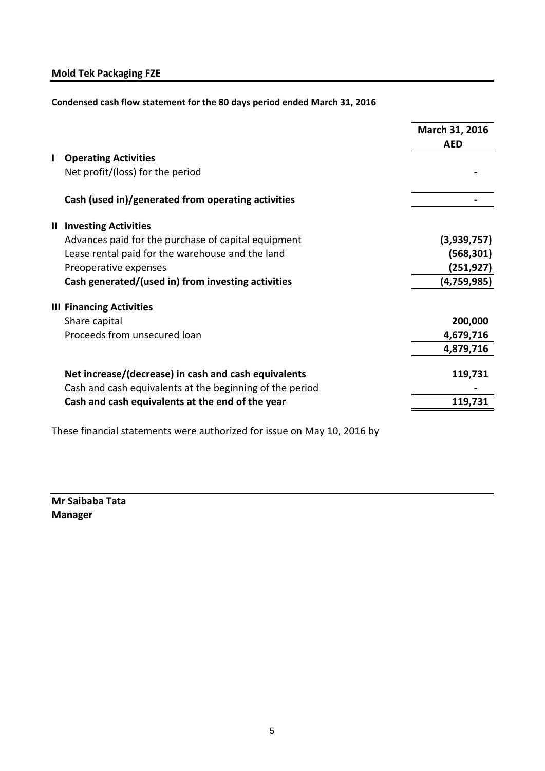**Condensed cash flow statement for the 80 days period ended March 31, 2016**

|              |                                                          | March 31, 2016<br><b>AED</b> |
|--------------|----------------------------------------------------------|------------------------------|
| $\mathbf{I}$ | <b>Operating Activities</b>                              |                              |
|              | Net profit/(loss) for the period                         |                              |
|              | Cash (used in)/generated from operating activities       |                              |
|              | <b>II Investing Activities</b>                           |                              |
|              | Advances paid for the purchase of capital equipment      | (3,939,757)                  |
|              | Lease rental paid for the warehouse and the land         | (568, 301)                   |
|              | Preoperative expenses                                    | (251,927)                    |
|              | Cash generated/(used in) from investing activities       | (4,759,985)                  |
|              | <b>III Financing Activities</b>                          |                              |
|              | Share capital                                            | 200,000                      |
|              | Proceeds from unsecured loan                             | 4,679,716                    |
|              |                                                          | 4,879,716                    |
|              | Net increase/(decrease) in cash and cash equivalents     | 119,731                      |
|              | Cash and cash equivalents at the beginning of the period |                              |
|              | Cash and cash equivalents at the end of the year         | 119,731                      |
|              |                                                          |                              |

These financial statements were authorized for issue on May 10, 2016 by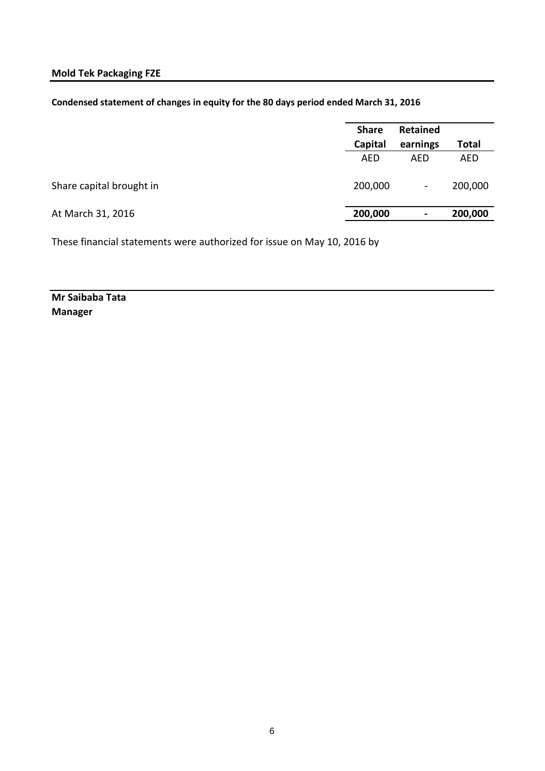| Condensed statement of changes in equity for the 80 days period ended March 31, 2016 |  |  |
|--------------------------------------------------------------------------------------|--|--|
|--------------------------------------------------------------------------------------|--|--|

|                          | <b>Share</b> | <b>Retained</b> |              |  |
|--------------------------|--------------|-----------------|--------------|--|
|                          | Capital      | earnings        | <b>Total</b> |  |
|                          | <b>AED</b>   | AED             | <b>AED</b>   |  |
| Share capital brought in | 200,000      | $\blacksquare$  | 200,000      |  |
| At March 31, 2016        | 200,000      | ٠               | 200,000      |  |
|                          |              |                 |              |  |

These financial statements were authorized for issue on May 10, 2016 by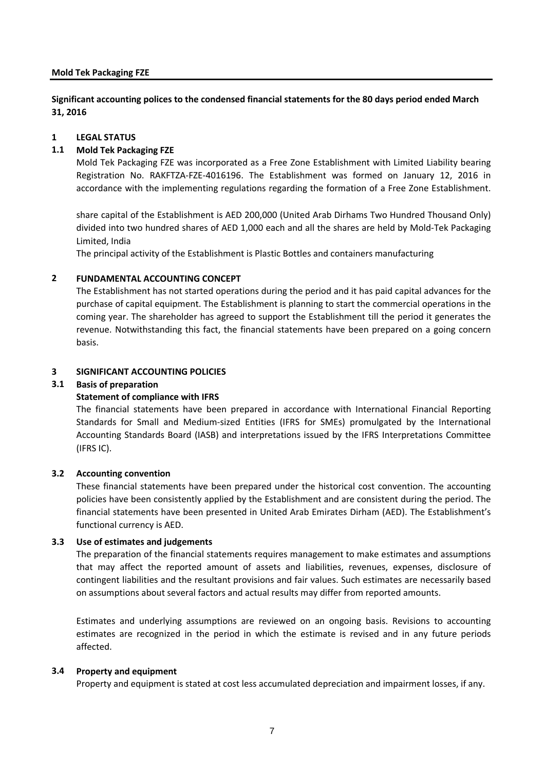**Significant accounting polices to the condensed financial statements for the 80 days period ended March 31, 2016**

### **1 LEGAL STATUS**

# **1.1 Mold Tek Packaging FZE**

Mold Tek Packaging FZE was incorporated as a Free Zone Establishment with Limited Liability bearing Registration No. RAKFTZA-FZE-4016196. The Establishment was formed on January 12, 2016 in accordance with the implementing regulations regarding the formation of a Free Zone Establishment.

share capital of the Establishment is AED 200,000 (United Arab Dirhams Two Hundred Thousand Only) divided into two hundred shares of AED 1,000 each and all the shares are held by Mold-Tek Packaging Limited, India

The principal activity of the Establishment is Plastic Bottles and containers manufacturing

### **2 FUNDAMENTAL ACCOUNTING CONCEPT**

The Establishment has not started operations during the period and it has paid capital advances for the purchase of capital equipment. The Establishment is planning to start the commercial operations in the coming year. The shareholder has agreed to support the Establishment till the period it generates the revenue. Notwithstanding this fact, the financial statements have been prepared on a going concern basis.

### **3 SIGNIFICANT ACCOUNTING POLICIES**

# **3.1 Basis of preparation**

### **Statement of compliance with IFRS**

The financial statements have been prepared in accordance with International Financial Reporting Standards for Small and Medium-sized Entities (IFRS for SMEs) promulgated by the International Accounting Standards Board (IASB) and interpretations issued by the IFRS Interpretations Committee (IFRS IC).

### **3.2 Accounting convention**

These financial statements have been prepared under the historical cost convention. The accounting policies have been consistently applied by the Establishment and are consistent during the period. The financial statements have been presented in United Arab Emirates Dirham (AED). The Establishment's functional currency is AED.

### **3.3 Use of estimates and judgements**

The preparation of the financial statements requires management to make estimates and assumptions that may affect the reported amount of assets and liabilities, revenues, expenses, disclosure of contingent liabilities and the resultant provisions and fair values. Such estimates are necessarily based on assumptions about several factors and actual results may differ from reported amounts.

Estimates and underlying assumptions are reviewed on an ongoing basis. Revisions to accounting estimates are recognized in the period in which the estimate is revised and in any future periods affected.

### **3.4 Property and equipment**

Property and equipment is stated at cost less accumulated depreciation and impairment losses, if any.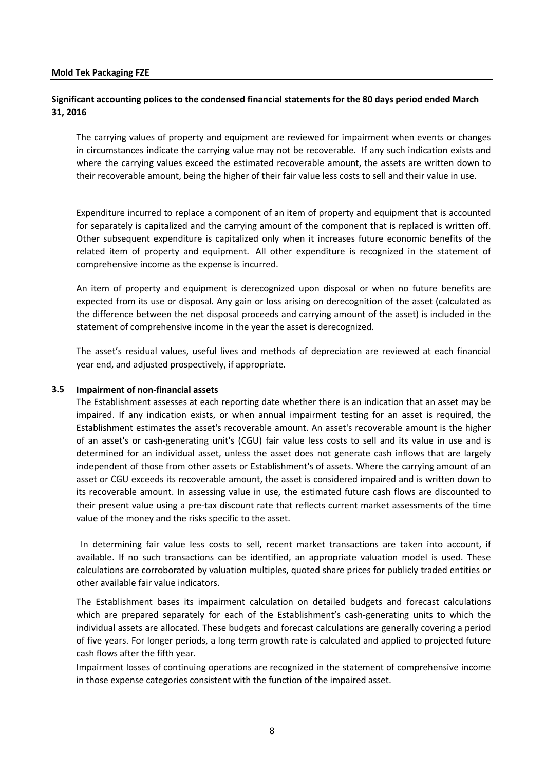## **Significant accounting polices to the condensed financial statements for the 80 days period ended March 31, 2016**

The carrying values of property and equipment are reviewed for impairment when events or changes in circumstances indicate the carrying value may not be recoverable. If any such indication exists and where the carrying values exceed the estimated recoverable amount, the assets are written down to their recoverable amount, being the higher of their fair value less costs to sell and their value in use.

Expenditure incurred to replace a component of an item of property and equipment that is accounted for separately is capitalized and the carrying amount of the component that is replaced is written off. Other subsequent expenditure is capitalized only when it increases future economic benefits of the related item of property and equipment. All other expenditure is recognized in the statement of comprehensive income as the expense is incurred.

An item of property and equipment is derecognized upon disposal or when no future benefits are expected from its use or disposal. Any gain or loss arising on derecognition of the asset (calculated as the difference between the net disposal proceeds and carrying amount of the asset) is included in the statement of comprehensive income in the year the asset is derecognized.

The asset's residual values, useful lives and methods of depreciation are reviewed at each financial year end, and adjusted prospectively, if appropriate.

#### **3.5 Impairment of non-financial assets**

The Establishment assesses at each reporting date whether there is an indication that an asset may be impaired. If any indication exists, or when annual impairment testing for an asset is required, the Establishment estimates the asset's recoverable amount. An asset's recoverable amount is the higher of an asset's or cash-generating unit's (CGU) fair value less costs to sell and its value in use and is determined for an individual asset, unless the asset does not generate cash inflows that are largely independent of those from other assets or Establishment's of assets. Where the carrying amount of an asset or CGU exceeds its recoverable amount, the asset is considered impaired and is written down to its recoverable amount. In assessing value in use, the estimated future cash flows are discounted to their present value using a pre-tax discount rate that reflects current market assessments of the time value of the money and the risks specific to the asset.

In determining fair value less costs to sell, recent market transactions are taken into account, if available. If no such transactions can be identified, an appropriate valuation model is used. These calculations are corroborated by valuation multiples, quoted share prices for publicly traded entities or other available fair value indicators.

The Establishment bases its impairment calculation on detailed budgets and forecast calculations which are prepared separately for each of the Establishment's cash-generating units to which the individual assets are allocated. These budgets and forecast calculations are generally covering a period of five years. For longer periods, a long term growth rate is calculated and applied to projected future cash flows after the fifth year.

Impairment losses of continuing operations are recognized in the statement of comprehensive income in those expense categories consistent with the function of the impaired asset.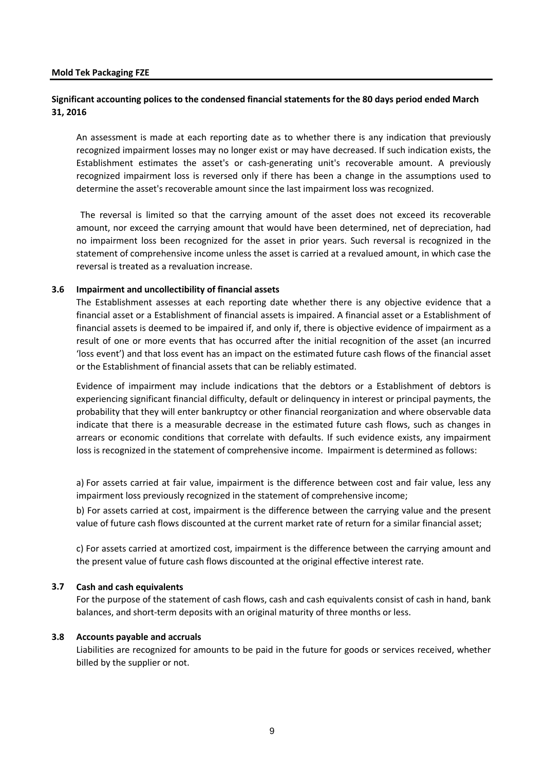### **Significant accounting polices to the condensed financial statements for the 80 days period ended March 31, 2016**

An assessment is made at each reporting date as to whether there is any indication that previously recognized impairment losses may no longer exist or may have decreased. If such indication exists, the Establishment estimates the asset's or cash-generating unit's recoverable amount. A previously recognized impairment loss is reversed only if there has been a change in the assumptions used to determine the asset's recoverable amount since the last impairment loss was recognized.

The reversal is limited so that the carrying amount of the asset does not exceed its recoverable amount, nor exceed the carrying amount that would have been determined, net of depreciation, had no impairment loss been recognized for the asset in prior years. Such reversal is recognized in the statement of comprehensive income unless the asset is carried at a revalued amount, in which case the reversal is treated as a revaluation increase.

#### **3.6 Impairment and uncollectibility of financial assets**

The Establishment assesses at each reporting date whether there is any objective evidence that a financial asset or a Establishment of financial assets is impaired. A financial asset or a Establishment of financial assets is deemed to be impaired if, and only if, there is objective evidence of impairment as a result of one or more events that has occurred after the initial recognition of the asset (an incurred 'loss event') and that loss event has an impact on the estimated future cash flows of the financial asset or the Establishment of financial assets that can be reliably estimated.

Evidence of impairment may include indications that the debtors or a Establishment of debtors is experiencing significant financial difficulty, default or delinquency in interest or principal payments, the probability that they will enter bankruptcy or other financial reorganization and where observable data indicate that there is a measurable decrease in the estimated future cash flows, such as changes in arrears or economic conditions that correlate with defaults. If such evidence exists, any impairment loss is recognized in the statement of comprehensive income. Impairment is determined as follows:

a) For assets carried at fair value, impairment is the difference between cost and fair value, less any impairment loss previously recognized in the statement of comprehensive income;

b) For assets carried at cost, impairment is the difference between the carrying value and the present value of future cash flows discounted at the current market rate of return for a similar financial asset;

c) For assets carried at amortized cost, impairment is the difference between the carrying amount and the present value of future cash flows discounted at the original effective interest rate.

### **3.7 Cash and cash equivalents**

For the purpose of the statement of cash flows, cash and cash equivalents consist of cash in hand, bank balances, and short-term deposits with an original maturity of three months or less.

#### **3.8 Accounts payable and accruals**

Liabilities are recognized for amounts to be paid in the future for goods or services received, whether billed by the supplier or not.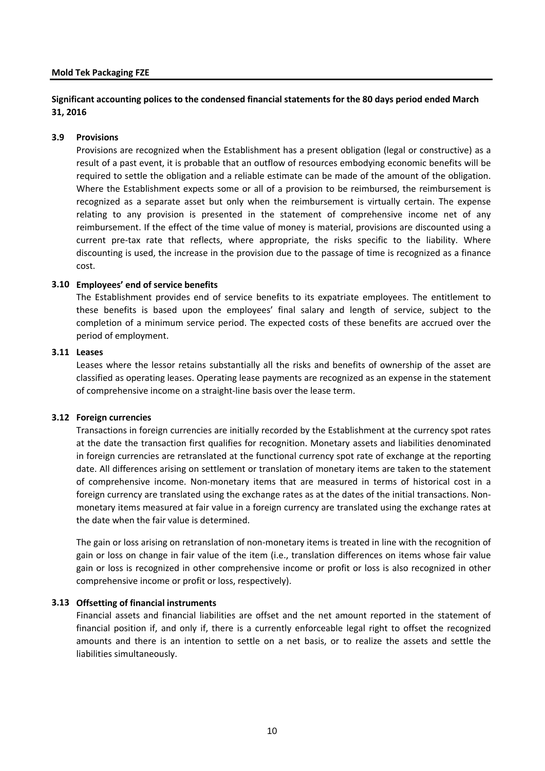## **Significant accounting polices to the condensed financial statements for the 80 days period ended March 31, 2016**

#### **3.9 Provisions**

Provisions are recognized when the Establishment has a present obligation (legal or constructive) as a result of a past event, it is probable that an outflow of resources embodying economic benefits will be required to settle the obligation and a reliable estimate can be made of the amount of the obligation. Where the Establishment expects some or all of a provision to be reimbursed, the reimbursement is recognized as a separate asset but only when the reimbursement is virtually certain. The expense relating to any provision is presented in the statement of comprehensive income net of any reimbursement. If the effect of the time value of money is material, provisions are discounted using a current pre-tax rate that reflects, where appropriate, the risks specific to the liability. Where discounting is used, the increase in the provision due to the passage of time is recognized as a finance cost.

#### **3.10 Employees' end of service benefits**

The Establishment provides end of service benefits to its expatriate employees. The entitlement to these benefits is based upon the employees' final salary and length of service, subject to the completion of a minimum service period. The expected costs of these benefits are accrued over the period of employment.

#### **3.11 Leases**

Leases where the lessor retains substantially all the risks and benefits of ownership of the asset are classified as operating leases. Operating lease payments are recognized as an expense in the statement of comprehensive income on a straight-line basis over the lease term.

#### **3.12 Foreign currencies**

Transactions in foreign currencies are initially recorded by the Establishment at the currency spot rates at the date the transaction first qualifies for recognition. Monetary assets and liabilities denominated in foreign currencies are retranslated at the functional currency spot rate of exchange at the reporting date. All differences arising on settlement or translation of monetary items are taken to the statement of comprehensive income. Non-monetary items that are measured in terms of historical cost in a foreign currency are translated using the exchange rates as at the dates of the initial transactions. Nonmonetary items measured at fair value in a foreign currency are translated using the exchange rates at the date when the fair value is determined.

The gain or loss arising on retranslation of non-monetary items is treated in line with the recognition of gain or loss on change in fair value of the item (i.e., translation differences on items whose fair value gain or loss is recognized in other comprehensive income or profit or loss is also recognized in other comprehensive income or profit or loss, respectively).

#### **3.13 Offsetting of financial instruments**

Financial assets and financial liabilities are offset and the net amount reported in the statement of financial position if, and only if, there is a currently enforceable legal right to offset the recognized amounts and there is an intention to settle on a net basis, or to realize the assets and settle the liabilities simultaneously.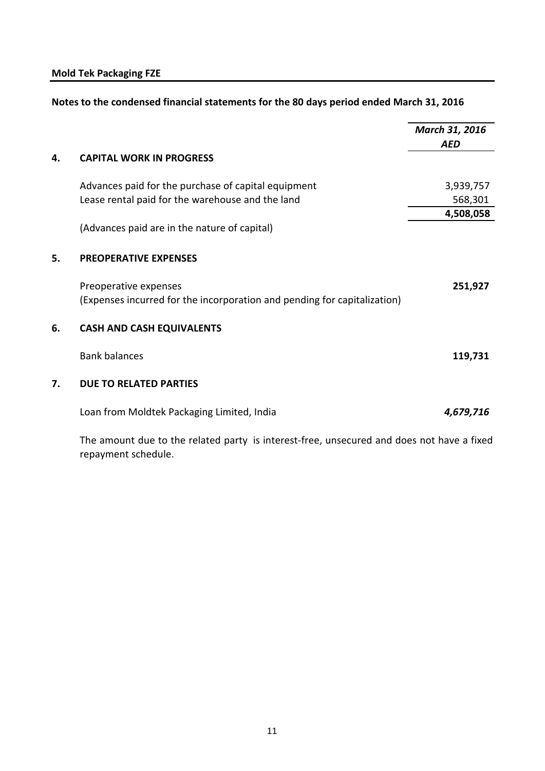| Notes to the condensed financial statements for the 80 days period ended March 31, 2016 |  |
|-----------------------------------------------------------------------------------------|--|
|-----------------------------------------------------------------------------------------|--|

|    |                                                                                                   | March 31, 2016 |
|----|---------------------------------------------------------------------------------------------------|----------------|
| 4. | <b>CAPITAL WORK IN PROGRESS</b>                                                                   | <b>AED</b>     |
|    | Advances paid for the purchase of capital equipment                                               | 3,939,757      |
|    | Lease rental paid for the warehouse and the land                                                  | 568,301        |
|    | (Advances paid are in the nature of capital)                                                      | 4,508,058      |
| 5. | <b>PREOPERATIVE EXPENSES</b>                                                                      |                |
|    | Preoperative expenses<br>(Expenses incurred for the incorporation and pending for capitalization) | 251,927        |
| 6. | <b>CASH AND CASH EQUIVALENTS</b>                                                                  |                |
|    | <b>Bank balances</b>                                                                              | 119,731        |
| 7. | <b>DUE TO RELATED PARTIES</b>                                                                     |                |
|    | Loan from Moldtek Packaging Limited, India                                                        | 4,679,716      |
|    |                                                                                                   |                |

The amount due to the related party is interest-free, unsecured and does not have a fixed repayment schedule.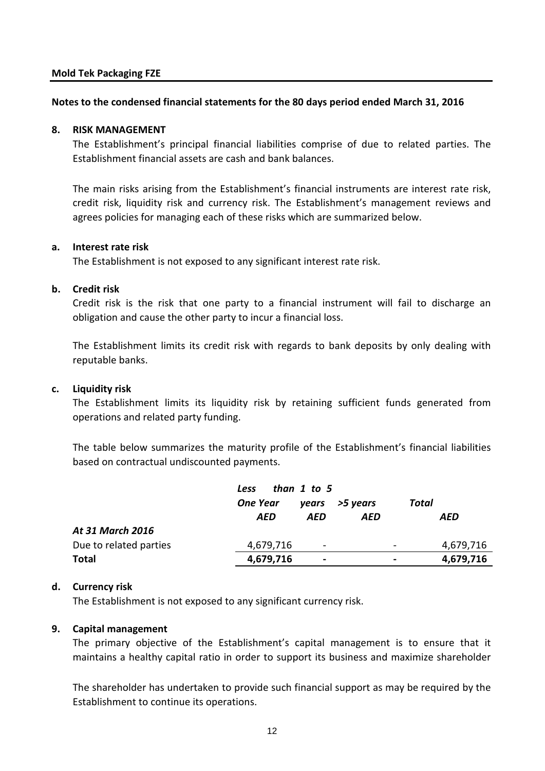### **Notes to the condensed financial statements for the 80 days period ended March 31, 2016**

### **8. RISK MANAGEMENT**

The Establishment's principal financial liabilities comprise of due to related parties. The Establishment financial assets are cash and bank balances.

The main risks arising from the Establishment's financial instruments are interest rate risk, credit risk, liquidity risk and currency risk. The Establishment's management reviews and agrees policies for managing each of these risks which are summarized below.

### **a. Interest rate risk**

The Establishment is not exposed to any significant interest rate risk.

### **b. Credit risk**

Credit risk is the risk that one party to a financial instrument will fail to discharge an obligation and cause the other party to incur a financial loss.

The Establishment limits its credit risk with regards to bank deposits by only dealing with reputable banks.

# **c. Liquidity risk**

The Establishment limits its liquidity risk by retaining sufficient funds generated from operations and related party funding.

The table below summarizes the maturity profile of the Establishment's financial liabilities based on contractual undiscounted payments.

|                        | than $1$ to $5$<br><b>Less</b> |                              |          |                          |           |
|------------------------|--------------------------------|------------------------------|----------|--------------------------|-----------|
|                        | <b>One Year</b>                | vears                        | >5 years |                          | Total     |
|                        | AED                            | AED                          | AED      |                          | AED       |
| At 31 March 2016       |                                |                              |          |                          |           |
| Due to related parties | 4,679,716                      | $\qquad \qquad \blacksquare$ |          | $\overline{\phantom{a}}$ | 4,679,716 |
| <b>Total</b>           | 4,679,716                      | $\blacksquare$               |          | $\overline{\phantom{0}}$ | 4,679,716 |

# **d. Currency risk**

The Establishment is not exposed to any significant currency risk.

# **9. Capital management**

The primary objective of the Establishment's capital management is to ensure that it maintains a healthy capital ratio in order to support its business and maximize shareholder

The shareholder has undertaken to provide such financial support as may be required by the Establishment to continue its operations.